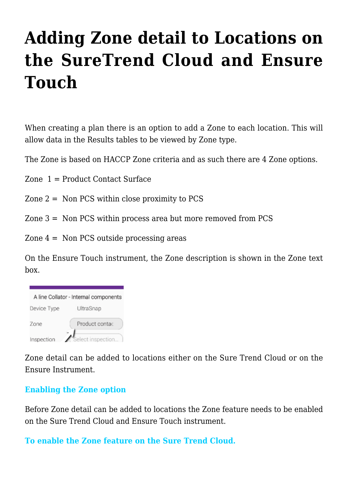# **[Adding Zone detail to Locations on](https://help.hygiena.com/kb-doc/adding-zone-detail-to-locations-on-the-suretrend-cloud-and-ensure-touch/) [the SureTrend Cloud and Ensure](https://help.hygiena.com/kb-doc/adding-zone-detail-to-locations-on-the-suretrend-cloud-and-ensure-touch/) [Touch](https://help.hygiena.com/kb-doc/adding-zone-detail-to-locations-on-the-suretrend-cloud-and-ensure-touch/)**

When creating a plan there is an option to add a Zone to each location. This will allow data in the Results tables to be viewed by Zone type.

The Zone is based on HACCP Zone criteria and as such there are 4 Zone options.

Zone 1 = Product Contact Surface

- Zone  $2 =$  Non PCS within close proximity to PCS
- Zone 3 = Non PCS within process area but more removed from PCS
- Zone  $4 =$  Non PCS outside processing areas

On the Ensure Touch instrument, the Zone description is shown in the Zone text box.

| A line Collator - Internal components |                   |  |  |  |  |  |
|---------------------------------------|-------------------|--|--|--|--|--|
| Device Type                           | UltraSnap         |  |  |  |  |  |
| Zone                                  | Product contac    |  |  |  |  |  |
| Inspection                            | Select inspection |  |  |  |  |  |

Zone detail can be added to locations either on the Sure Trend Cloud or on the Ensure Instrument.

## **Enabling the Zone option**

Before Zone detail can be added to locations the Zone feature needs to be enabled on the Sure Trend Cloud and Ensure Touch instrument.

#### **To enable the Zone feature on the Sure Trend Cloud.**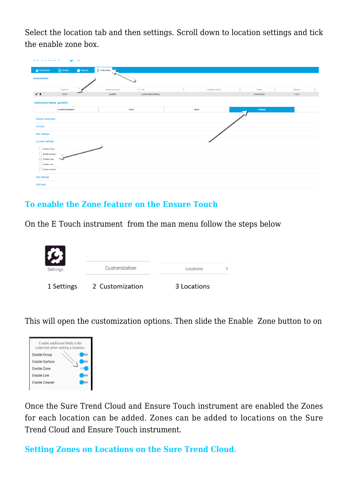Select the location tab and then settings. Scroll down to location settings and tick the enable zone box.

| <b>Instrument</b>      |                           |                            |                         |                       |          |              |
|------------------------|---------------------------|----------------------------|-------------------------|-----------------------|----------|--------------|
|                        |                           |                            |                         |                       |          |              |
| <b>Instrument Name</b> | $\mathbf{v}$              | <b>Calibration Check</b>   | $\overline{\mathbf{Y}}$ | $\mathbf{r}$<br>Model | Software | $\mathbf{v}$ |
| garetthh               |                           |                            |                         | EnsureTouch           | 1.68.9   |              |
|                        |                           |                            |                         |                       |          |              |
| Plans                  |                           | <b>Users</b>               |                         | <b>Settings</b>       |          |              |
|                        |                           |                            |                         |                       |          |              |
|                        |                           |                            |                         |                       |          |              |
|                        |                           |                            |                         |                       |          |              |
|                        |                           |                            |                         |                       |          |              |
|                        |                           |                            |                         |                       |          |              |
|                        |                           |                            |                         |                       |          |              |
|                        |                           |                            |                         |                       |          |              |
|                        |                           |                            |                         |                       |          |              |
|                        |                           |                            |                         |                       |          |              |
|                        |                           |                            |                         |                       |          |              |
|                        |                           |                            |                         |                       |          |              |
|                        | $\blacktriangledown$ Site | <b>London Bread Baking</b> |                         |                       |          |              |

### **To enable the Zone feature on the Ensure Touch**

On the E Touch instrument from the man menu follow the steps below



This will open the customization options. Then slide the Enable Zone button to on



Once the Sure Trend Cloud and Ensure Touch instrument are enabled the Zones for each location can be added. Zones can be added to locations on the Sure Trend Cloud and Ensure Touch instrument.

**Setting Zones on Locations on the Sure Trend Cloud.**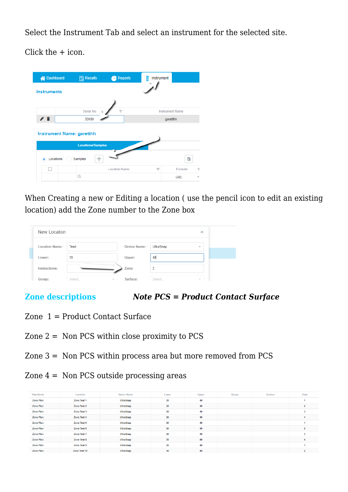Select the Instrument Tab and select an instrument for the selected site.

Click the + icon.



When Creating a new or Editing a location ( use the pencil icon to edit an existing location) add the Zone number to the Zone box

| New Location   |                  |                |           | $\times$                 |
|----------------|------------------|----------------|-----------|--------------------------|
| Location Name: | Tesrt            | Device Name: * | UltraSnap | $\overline{\phantom{a}}$ |
| Lower:         | 20               | Upper:         | 40        |                          |
| Instructions:  |                  | Zone:          | 2         |                          |
| Group:         | Select<br>$\sim$ | Surface:       | Select    | $\sim$                   |

**Zone descriptions** *Note PCS = Product Contact Surface*

- Zone 1 = Product Contact Surface
- Zone 2 = Non PCS within close proximity to PCS
- Zone 3 = Non PCS within process area but more removed from PCS
- Zone  $4 =$  Non PCS outside processing areas

| Plan Name        | Location     | <b>Device Name</b> | Lower           | <b>Upper</b> | Group | Surface | Zone           |
|------------------|--------------|--------------------|-----------------|--------------|-------|---------|----------------|
| <b>Zone Plan</b> | Zone Test 1  | <b>Ultra Snap</b>  | 20              | 40           |       |         |                |
| <b>Zone Plan</b> | Zone Test 2  | <b>Ultra Snap</b>  | 20 <sub>2</sub> | 40           |       |         | $\overline{2}$ |
| Zone Plan        | Zone Test 3  | <b>Ultra Snap</b>  | 20              | 40           |       |         | 3              |
| Zone Plan        | Zone Test 4  | <b>Ultra Snap</b>  | 20 <sub>2</sub> | 40           |       |         | 4              |
| <b>Zone Plan</b> | Zone Test 5  | <b>Ultra Snap</b>  | 20              | 40           |       |         |                |
| Zone Plan        | Zone Test 6  | <b>UltraSnap</b>   | 20 <sub>2</sub> | 40           |       |         | $\overline{2}$ |
| <b>Zone Plan</b> | Zone Test 7  | <b>Ultra Snap</b>  | 20              | 40           |       |         | 3              |
| Zone Plan        | Zone Test 8  | <b>Ultra Snap</b>  | 20              | 40           |       |         | 4              |
| <b>Zone Plan</b> | Zone Test 9  | <b>Ultra Snap</b>  | 20              | 40           |       |         |                |
| <b>Zone Plan</b> | Zone Test 10 | <b>Ultra Snap</b>  | 20              | 40           |       |         | $\overline{2}$ |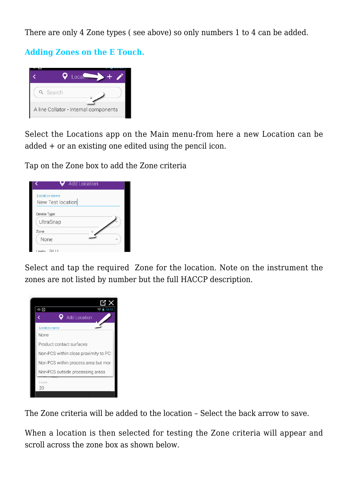There are only 4 Zone types ( see above) so only numbers 1 to 4 can be added.

**Adding Zones on the E Touch.**



Select the Locations app on the Main menu-from here a new Location can be added + or an existing one edited using the pencil icon.

Tap on the Zone box to add the Zone criteria

| None | Location name<br>Device Type<br>UltraSnap | New Test location | Add Location |
|------|-------------------------------------------|-------------------|--------------|

Select and tap the required Zone for the location. Note on the instrument the zones are not listed by number but the full HACCP description.



The Zone criteria will be added to the location – Select the back arrow to save.

When a location is then selected for testing the Zone criteria will appear and scroll across the zone box as shown below.